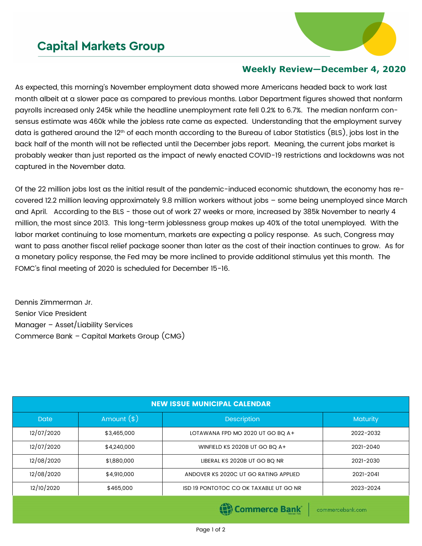## **Capital Markets Group**



## **Weekly Review—December 4, 2020**

As expected, this morning's November employment data showed more Americans headed back to work last month albeit at a slower pace as compared to previous months. Labor Department figures showed that nonfarm payrolls increased only 245k while the headline unemployment rate fell 0.2% to 6.7%. The median nonfarm consensus estimate was 460k while the jobless rate came as expected. Understanding that the employment survey data is gathered around the 12<sup>th</sup> of each month according to the Bureau of Labor Statistics (BLS), jobs lost in the back half of the month will not be reflected until the December jobs report. Meaning, the current jobs market is probably weaker than just reported as the impact of newly enacted COVID-19 restrictions and lockdowns was not captured in the November data.

Of the 22 million jobs lost as the initial result of the pandemic-induced economic shutdown, the economy has recovered 12.2 million leaving approximately 9.8 million workers without jobs – some being unemployed since March and April. According to the BLS - those out of work 27 weeks or more, increased by 385k November to nearly 4 million, the most since 2013. This long-term joblessness group makes up 40% of the total unemployed. With the labor market continuing to lose momentum, markets are expecting a policy response. As such, Congress may want to pass another fiscal relief package sooner than later as the cost of their inaction continues to grow. As for a monetary policy response, the Fed may be more inclined to provide additional stimulus yet this month. The FOMC's final meeting of 2020 is scheduled for December 15-16.

Dennis Zimmerman Jr. Senior Vice President Manager – Asset/Liability Services Commerce Bank – Capital Markets Group (CMG)

| <b>NEW ISSUE MUNICIPAL CALENDAR</b> |              |                                        |           |  |  |
|-------------------------------------|--------------|----------------------------------------|-----------|--|--|
| <b>Date</b>                         | Amount $(*)$ | <b>Description</b>                     | Maturity  |  |  |
| 12/07/2020                          | \$3,465,000  | LOTAWANA FPD MO 2020 UT GO BQ A+       | 2022-2032 |  |  |
| 12/07/2020                          | \$4,240,000  | WINFIELD KS 2020B UT GO BO A+          | 2021-2040 |  |  |
| 12/08/2020                          | \$1,880,000  | LIBERAL KS 2020B UT GO BQ NR           | 2021-2030 |  |  |
| 12/08/2020                          | \$4,910,000  | ANDOVER KS 2020C UT GO RATING APPLIED  | 2021-2041 |  |  |
| 12/10/2020                          | \$465,000    | ISD 19 PONTOTOC CO OK TAXABLE UT GO NR | 2023-2024 |  |  |
|                                     |              |                                        |           |  |  |

(e) Commerce Bank

commercebank.com